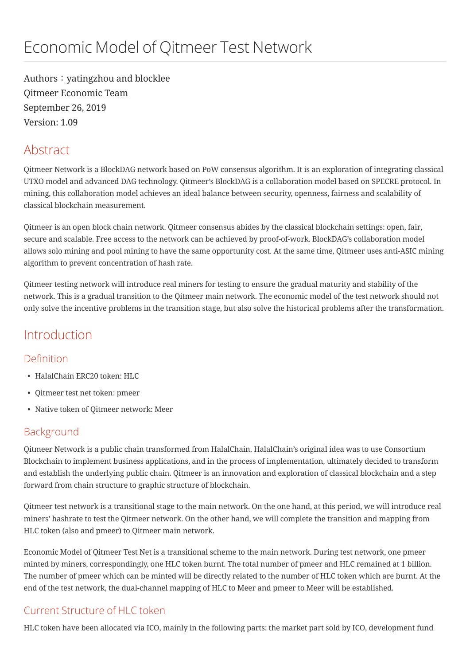Authors: yatingzhou and blocklee Qitmeer Economic Team September 26, 2019 Version: 1.09

# Abstract

Qitmeer Network is a BlockDAG network based on PoW consensus algorithm. It is an exploration of integrating classical UTXO model and advanced DAG technology. Qitmeer's BlockDAG is a collaboration model based on SPECRE protocol. In mining, this collaboration model achieves an ideal balance between security, openness, fairness and scalability of classical blockchain measurement.

Qitmeer is an open block chain network. Qitmeer consensus abides by the classical blockchain settings: open, fair, secure and scalable. Free access to the network can be achieved by proof-of-work. BlockDAG's collaboration model allows solo mining and pool mining to have the same opportunity cost. At the same time, Qitmeer uses anti-ASIC mining algorithm to prevent concentration of hash rate.

Qitmeer testing network will introduce real miners for testing to ensure the gradual maturity and stability of the network. This is a gradual transition to the Qitmeer main network. The economic model of the test network should not only solve the incentive problems in the transition stage, but also solve the historical problems after the transformation.

# Introduction

## Definition

- HalalChain ERC20 token: HLC
- Qitmeer test net token: pmeer
- Native token of Qitmeer network: Meer

## Background

Qitmeer Network is a public chain transformed from HalalChain. HalalChain's original idea was to use Consortium Blockchain to implement business applications, and in the process of implementation, ultimately decided to transform and establish the underlying public chain. Qitmeer is an innovation and exploration of classical blockchain and a step forward from chain structure to graphic structure of blockchain.

Qitmeer test network is a transitional stage to the main network. On the one hand, at this period, we will introduce real miners' hashrate to test the Qitmeer network. On the other hand, we will complete the transition and mapping from HLC token (also and pmeer) to Qitmeer main network.

Economic Model of Qitmeer Test Net is a transitional scheme to the main network. During test network, one pmeer minted by miners, correspondingly, one HLC token burnt. The total number of pmeer and HLC remained at 1 billion. The number of pmeer which can be minted will be directly related to the number of HLC token which are burnt. At the end of the test network, the dual-channel mapping of HLC to Meer and pmeer to Meer will be established.

# Current Structure of HLC token

HLC token have been allocated via ICO, mainly in the following parts: the market part sold by ICO, development fund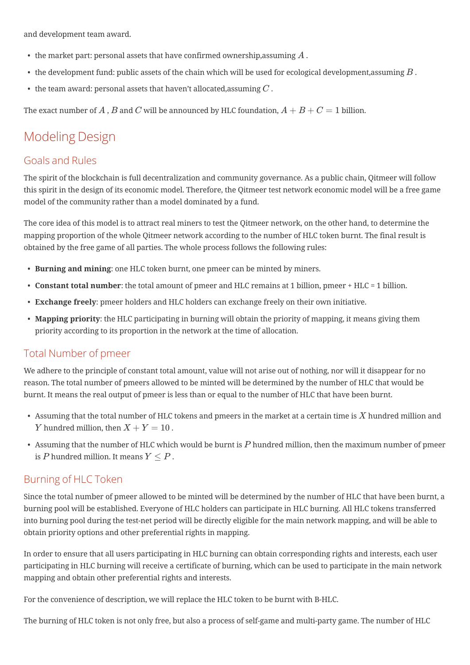and development team award.

- $\bullet~$  the market part: personal assets that have confirmed ownership,assuming  $A$  .
- $\bullet~$  the development fund: public assets of the chain which will be used for ecological development,assuming  $B$  .
- $\bullet~$  the team award: personal assets that haven't allocated,assuming  $C$  .

The exact number of  $A$  ,  $B$  and  $C$  will be announced by HLC foundation,  $A + B + C = 1$  billion.

# Modeling Design

## Goals and Rules

The spirit of the blockchain is full decentralization and community governance. As a public chain, Qitmeer will follow this spirit in the design of its economic model. Therefore, the Qitmeer test network economic model will be a free game model of the community rather than a model dominated by a fund.

The core idea of this model is to attract real miners to test the Qitmeer network, on the other hand, to determine the mapping proportion of the whole Qitmeer network according to the number of HLC token burnt. The final result is obtained by the free game of all parties. The whole process follows the following rules:

- Burning and mining: one HLC token burnt, one pmeer can be minted by miners.
- Constant total number: the total amount of pmeer and HLC remains at 1 billion, pmeer + HLC = 1 billion.
- Exchange freely: pmeer holders and HLC holders can exchange freely on their own initiative.
- Mapping priority: the HLC participating in burning will obtain the priority of mapping, it means giving them priority according to its proportion in the network at the time of allocation.

## Total Number of pmeer

We adhere to the principle of constant total amount, value will not arise out of nothing, nor will it disappear for no reason. The total number of pmeers allowed to be minted will be determined by the number of HLC that would be burnt. It means the real output of pmeer is less than or equal to the number of HLC that have been burnt.

- Assuming that the total number of HLC tokens and pmeers in the market at a certain time is  $X$  hundred million and  $Y$  hundred million, then  $X+Y=10$  .
- Assuming that the number of HLC which would be burnt is  $P$  hundred million, then the maximum number of pmeer is  $P$  hundred million. It means  $Y \leq P$  .

#### Burning of HLC Token

Since the total number of pmeer allowed to be minted will be determined by the number of HLC that have been burnt, a burning pool will be established. Everyone of HLC holders can participate in HLC burning. All HLC tokens transferred into burning pool during the test-net period will be directly eligible for the main network mapping, and will be able to obtain priority options and other preferential rights in mapping.

In order to ensure that all users participating in HLC burning can obtain corresponding rights and interests, each user participating in HLC burning will receive a certificate of burning, which can be used to participate in the main network mapping and obtain other preferential rights and interests.

For the convenience of description, we will replace the HLC token to be burnt with B-HLC.

The burning of HLC token is not only free, but also a process of self-game and multi-party game. The number of HLC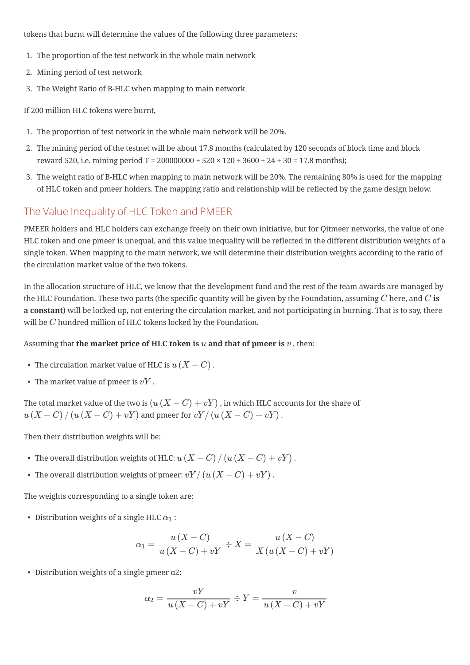tokens that burnt will determine the values of the following three parameters:

- 1. The proportion of the test network in the whole main network
- 2. Mining period of test network
- 3. The Weight Ratio of B-HLC when mapping to main network

If 200 million HLC tokens were burnt,

- 1. The proportion of test network in the whole main network will be 20%.
- 2. The mining period of the testnet will be about 17.8 months (calculated by 120 seconds of block time and block reward 520, i.e. mining period  $T = 200000000 \div 520 \times 120 \div 3600 \div 24 \div 30 = 17.8$  months);
- 3. The weight ratio of B-HLC when mapping to main network will be 20%. The remaining 80% is used for the mapping of HLC token and pmeer holders. The mapping ratio and relationship will be reflected by the game design below.

## The Value Inequality of HLC Token and PMEER

PMEER holders and HLC holders can exchange freely on their own initiative, but for Qitmeer networks, the value of one HLC token and one pmeer is unequal, and this value inequality will be reflected in the different distribution weights of a single token. When mapping to the main network, we will determine their distribution weights according to the ratio of the circulation market value of the two tokens.

In the allocation structure of HLC, we know that the development fund and the rest of the team awards are managed by the HLC Foundation. These two parts (the specific quantity will be given by the Foundation, assuming  $C$  here, and  $C$   $\bf{is}$ a constant) will be locked up, not entering the circulation market, and not participating in burning. That is to say, there will be  $C$  hundred million of HLC tokens locked by the Foundation.

#### Assuming that **the market price of HLC token is**  $u$  **and that of pmeer is**  $v$  , then:

- The circulation market value of HLC is  $u\left(X-C\right)$  .
- The market value of pmeer is  $vY$  .

The total market value of the two is  $\left(u\left(X-C\right)+vY\right)$  , in which HLC accounts for the share of  $u\left( X-C \right)/\left( u\left( X-C \right)+vY \right)$  and pmeer for  $vY/\left( u\left( X-C \right)+vY \right)$  .

Then their distribution weights will be:

- The overall distribution weights of HLC:  $u\left(X-C\right)/\left(u\left(X-C\right)+vY\right)$  .
- The overall distribution weights of pmeer:  $vY/\left(u\left(X-C\right)+vY\right)$  .

The weights corresponding to a single token are:

- Distribution weights of a single HLC  $\alpha_1$  :

$$
\alpha_1 = \frac{u(X-C)}{u(X-C) + vY} \div X = \frac{u(X-C)}{X(u(X-C) + vY)}
$$

• Distribution weights of a single pmeer α2:

$$
\alpha_2 = \frac{vY}{u\left(X - C\right) + vY} \div Y = \frac{v}{u\left(X - C\right) + vY}
$$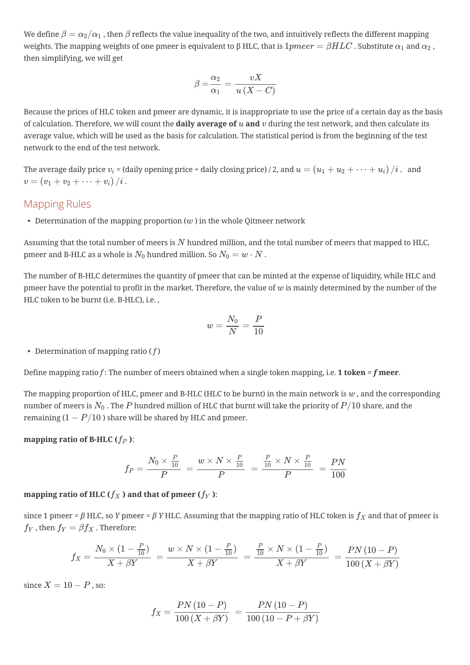We define  $\beta=\alpha_2/\alpha_1$  , then  $\beta$  reflects the value inequality of the two, and intuitively reflects the different mapping weights. The mapping weights of one pmeer is equivalent to β HLC, that is  $1pmeer=\beta HLC$  . Substitute  $\alpha_1$  and  $\alpha_2$  , then simplifying, we will get

$$
\beta = \frac{\alpha_2}{\alpha_1} = \frac{vX}{u(X - C)}
$$

Because the prices of HLC token and pmeer are dynamic, it is inappropriate to use the price of a certain day as the basis of calculation. Therefore, we will count the **daily average of**  $u$  and  $v$  during the test network, and then calculate its average value, which will be used as the basis for calculation. The statistical period is from the beginning of the test network to the end of the test network.

The average daily price  $v_i$  = (daily opening price + daily closing price) / 2, and  $u = (u_1 + u_2 + \cdots + u_i) \, / i$  , and  $v=\left(v_1+v_2+\cdots+v_i\right)/i$  .

#### Mapping Rules

• Determination of the mapping proportion  $(w)$  in the whole Qitmeer network

Assuming that the total number of meers is  $N$  hundred million, and the total number of meers that mapped to HLC, pmeer and B-HLC as a whole is  $N_0$  hundred million. So  $N_0 = w \cdot N$  .

The number of B-HLC determines the quantity of pmeer that can be minted at the expense of liquidity, while HLC and pmeer have the potential to profit in the market. Therefore, the value of  $w$  is mainly determined by the number of the HLC token to be burnt (i.e. B-HLC), i.e. ,

$$
w=\frac{N_0}{N}=\frac{P}{10}
$$

• Determination of mapping ratio  $(f)$ 

Define mapping ratio f: The number of meers obtained when a single token mapping, i.e. 1 token = f meer.

The mapping proportion of HLC, pmeer and B-HLC (HLC to be burnt) in the main network is  $w$  , and the corresponding number of meers is  $N_0$  . The  $P$  hundred million of HLC that burnt will take the priority of  $P/10$  share, and the remaining ( $1 - P/10$  ) share will be shared by HLC and pmeer.

mapping ratio of B-HLC ( $f_P$  ):

$$
f_P = \frac{N_0 \times \frac{P}{10}}{P} = \frac{w \times N \times \frac{P}{10}}{P} = \frac{\frac{P}{10} \times N \times \frac{P}{10}}{P} = \frac{PN}{100}
$$

mapping ratio of HLC ( $f_X$  ) and that of pmeer ( $f_Y$  ):

since 1 pmeer =  $\beta$  HLC, so Y pmeer =  $\beta$  Y HLC. Assuming that the mapping ratio of HLC token is  $f_X$  and that of pmeer is  $f_Y$  , then  $f_Y = \beta f_X$  . Therefore:

$$
f_X = \frac{N_0 \times (1-\frac{P}{10})}{X+\beta Y} \ = \frac{w \times N \times (1-\frac{P}{10})}{X+\beta Y} \ = \frac{\frac{P}{10} \times N \times (1-\frac{P}{10})}{X+\beta Y} \ = \frac{PN\,(10-P)}{100\,(X+\beta Y)}
$$

since  $X = 10 - P$  , so:

$$
f_X = \frac{PN\,(10-P)}{100\,(X+\beta Y)}\,=\,\frac{PN\,(10-P)}{100\,(10-P+\beta Y)}
$$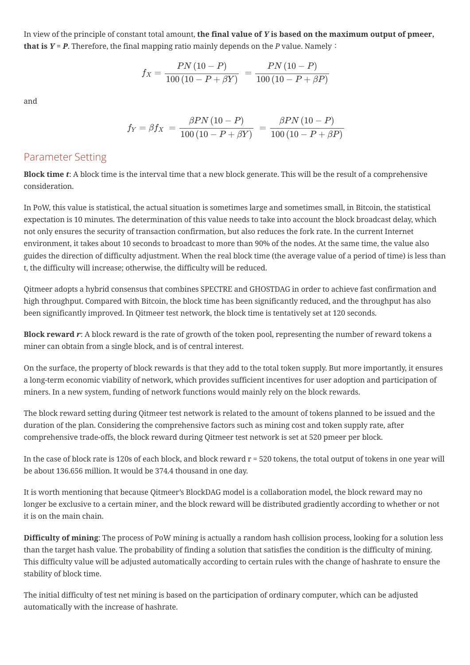In view of the principle of constant total amount, the final value of  $Y$  is based on the maximum output of pmeer, that is  $Y = P$ . Therefore, the final mapping ratio mainly depends on the P value. Namely:

$$
f_X = \frac{PN\,(10-P)}{100\,(10-P+\beta Y)}\ = \frac{PN\,(10-P)}{100\,(10-P+\beta P)}
$$

and

$$
f_Y = \beta f_X = \frac{\beta PN (10 - P)}{100 (10 - P + \beta Y)} = \frac{\beta PN (10 - P)}{100 (10 - P + \beta P)}
$$

#### Parameter Setting

**Block time t:** A block time is the interval time that a new block generate. This will be the result of a comprehensive consideration.

In PoW, this value is statistical, the actual situation is sometimes large and sometimes small, in Bitcoin, the statistical expectation is 10 minutes. The determination of this value needs to take into account the block broadcast delay, which not only ensures the security of transaction confirmation, but also reduces the fork rate. In the current Internet environment, it takes about 10 seconds to broadcast to more than 90% of the nodes. At the same time, the value also guides the direction of difficulty adjustment. When the real block time (the average value of a period of time) is less than t, the difficulty will increase; otherwise, the difficulty will be reduced.

Qitmeer adopts a hybrid consensus that combines SPECTRE and GHOSTDAG in order to achieve fast confirmation and high throughput. Compared with Bitcoin, the block time has been significantly reduced, and the throughput has also been significantly improved. In Qitmeer test network, the block time is tentatively set at 120 seconds.

Block reward  $r$ : A block reward is the rate of growth of the token pool, representing the number of reward tokens a miner can obtain from a single block, and is of central interest.

On the surface, the property of block rewards is that they add to the total token supply. But more importantly, it ensures a long-term economic viability of network, which provides sufficient incentives for user adoption and participation of miners. In a new system, funding of network functions would mainly rely on the block rewards.

The block reward setting during Qitmeer test network is related to the amount of tokens planned to be issued and the duration of the plan. Considering the comprehensive factors such as mining cost and token supply rate, after comprehensive trade-offs, the block reward during Qitmeer test network is set at 520 pmeer per block.

In the case of block rate is 120s of each block, and block reward  $r = 520$  tokens, the total output of tokens in one year will be about 136.656 million. It would be 374.4 thousand in one day.

It is worth mentioning that because Qitmeer's BlockDAG model is a collaboration model, the block reward may no longer be exclusive to a certain miner, and the block reward will be distributed gradiently according to whether or not it is on the main chain.

Difficulty of mining: The process of PoW mining is actually a random hash collision process, looking for a solution less than the target hash value. The probability of finding a solution that satisfies the condition is the difficulty of mining. This difficulty value will be adjusted automatically according to certain rules with the change of hashrate to ensure the stability of block time.

The initial difficulty of test net mining is based on the participation of ordinary computer, which can be adjusted automatically with the increase of hashrate.